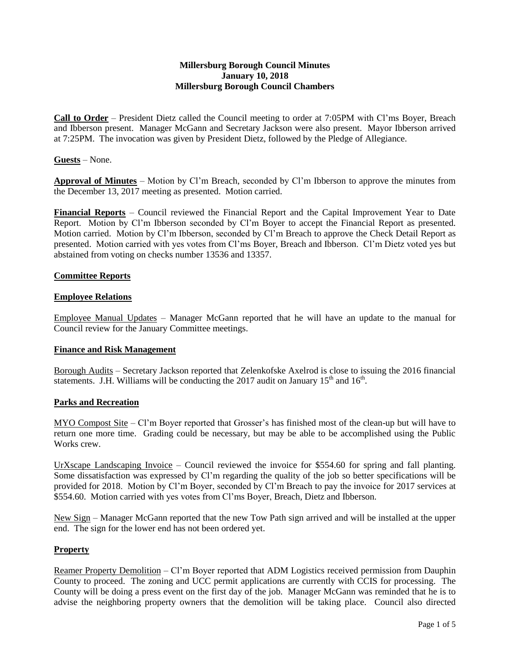### **Millersburg Borough Council Minutes January 10, 2018 Millersburg Borough Council Chambers**

**Call to Order** – President Dietz called the Council meeting to order at 7:05PM with Cl'ms Boyer, Breach and Ibberson present. Manager McGann and Secretary Jackson were also present. Mayor Ibberson arrived at 7:25PM. The invocation was given by President Dietz, followed by the Pledge of Allegiance.

## **Guests** – None.

**Approval of Minutes** – Motion by Cl'm Breach, seconded by Cl'm Ibberson to approve the minutes from the December 13, 2017 meeting as presented. Motion carried.

**Financial Reports** – Council reviewed the Financial Report and the Capital Improvement Year to Date Report. Motion by Cl'm Ibberson seconded by Cl'm Boyer to accept the Financial Report as presented. Motion carried. Motion by Cl'm Ibberson, seconded by Cl'm Breach to approve the Check Detail Report as presented. Motion carried with yes votes from Cl'ms Boyer, Breach and Ibberson. Cl'm Dietz voted yes but abstained from voting on checks number 13536 and 13357.

## **Committee Reports**

## **Employee Relations**

Employee Manual Updates – Manager McGann reported that he will have an update to the manual for Council review for the January Committee meetings.

## **Finance and Risk Management**

Borough Audits – Secretary Jackson reported that Zelenkofske Axelrod is close to issuing the 2016 financial statements. J.H. Williams will be conducting the 2017 audit on January  $15<sup>th</sup>$  and  $16<sup>th</sup>$ .

## **Parks and Recreation**

MYO Compost Site – Cl'm Boyer reported that Grosser's has finished most of the clean-up but will have to return one more time. Grading could be necessary, but may be able to be accomplished using the Public Works crew.

UrXscape Landscaping Invoice – Council reviewed the invoice for \$554.60 for spring and fall planting. Some dissatisfaction was expressed by Cl'm regarding the quality of the job so better specifications will be provided for 2018. Motion by Cl'm Boyer, seconded by Cl'm Breach to pay the invoice for 2017 services at \$554.60. Motion carried with yes votes from Cl'ms Boyer, Breach, Dietz and Ibberson.

New Sign – Manager McGann reported that the new Tow Path sign arrived and will be installed at the upper end. The sign for the lower end has not been ordered yet.

## **Property**

Reamer Property Demolition – Cl'm Boyer reported that ADM Logistics received permission from Dauphin County to proceed. The zoning and UCC permit applications are currently with CCIS for processing. The County will be doing a press event on the first day of the job. Manager McGann was reminded that he is to advise the neighboring property owners that the demolition will be taking place. Council also directed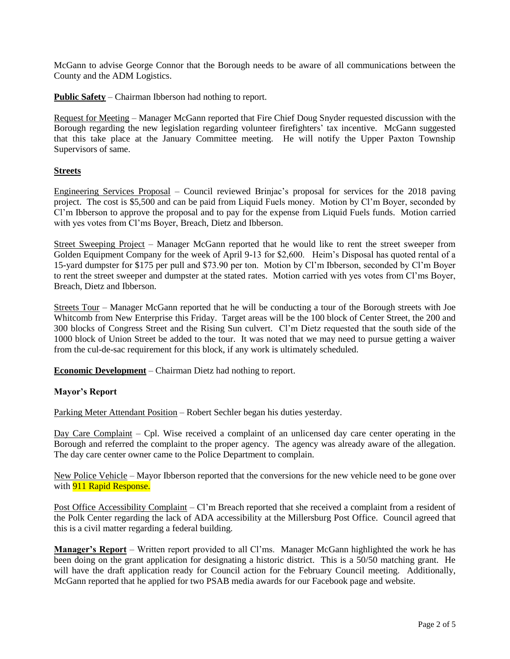McGann to advise George Connor that the Borough needs to be aware of all communications between the County and the ADM Logistics.

**Public Safety** – Chairman Ibberson had nothing to report.

Request for Meeting – Manager McGann reported that Fire Chief Doug Snyder requested discussion with the Borough regarding the new legislation regarding volunteer firefighters' tax incentive. McGann suggested that this take place at the January Committee meeting. He will notify the Upper Paxton Township Supervisors of same.

# **Streets**

Engineering Services Proposal – Council reviewed Brinjac's proposal for services for the 2018 paving project. The cost is \$5,500 and can be paid from Liquid Fuels money. Motion by Cl'm Boyer, seconded by Cl'm Ibberson to approve the proposal and to pay for the expense from Liquid Fuels funds. Motion carried with yes votes from Cl'ms Boyer, Breach, Dietz and Ibberson.

Street Sweeping Project – Manager McGann reported that he would like to rent the street sweeper from Golden Equipment Company for the week of April 9-13 for \$2,600. Heim's Disposal has quoted rental of a 15-yard dumpster for \$175 per pull and \$73.90 per ton. Motion by Cl'm Ibberson, seconded by Cl'm Boyer to rent the street sweeper and dumpster at the stated rates. Motion carried with yes votes from Cl'ms Boyer, Breach, Dietz and Ibberson.

Streets Tour – Manager McGann reported that he will be conducting a tour of the Borough streets with Joe Whitcomb from New Enterprise this Friday. Target areas will be the 100 block of Center Street, the 200 and 300 blocks of Congress Street and the Rising Sun culvert. Cl'm Dietz requested that the south side of the 1000 block of Union Street be added to the tour. It was noted that we may need to pursue getting a waiver from the cul-de-sac requirement for this block, if any work is ultimately scheduled.

**Economic Development** – Chairman Dietz had nothing to report.

## **Mayor's Report**

Parking Meter Attendant Position – Robert Sechler began his duties yesterday.

Day Care Complaint – Cpl. Wise received a complaint of an unlicensed day care center operating in the Borough and referred the complaint to the proper agency. The agency was already aware of the allegation. The day care center owner came to the Police Department to complain.

New Police Vehicle – Mayor Ibberson reported that the conversions for the new vehicle need to be gone over with **911 Rapid Response.** 

Post Office Accessibility Complaint – Cl'm Breach reported that she received a complaint from a resident of the Polk Center regarding the lack of ADA accessibility at the Millersburg Post Office. Council agreed that this is a civil matter regarding a federal building.

**Manager's Report** – Written report provided to all Cl'ms. Manager McGann highlighted the work he has been doing on the grant application for designating a historic district. This is a 50/50 matching grant. He will have the draft application ready for Council action for the February Council meeting. Additionally, McGann reported that he applied for two PSAB media awards for our Facebook page and website.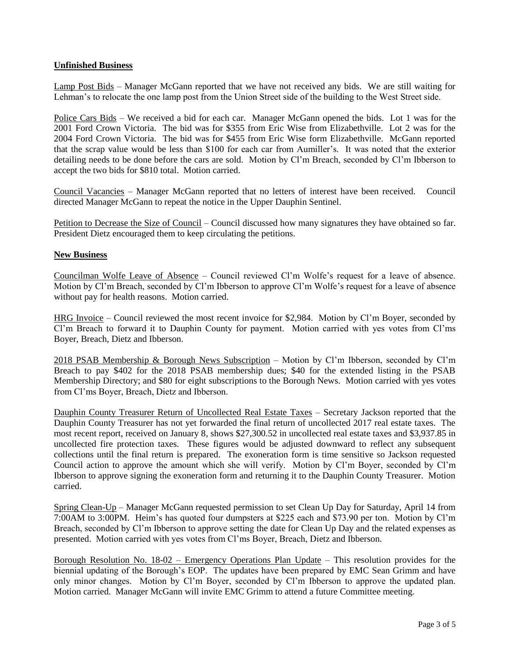## **Unfinished Business**

Lamp Post Bids – Manager McGann reported that we have not received any bids. We are still waiting for Lehman's to relocate the one lamp post from the Union Street side of the building to the West Street side.

Police Cars Bids – We received a bid for each car. Manager McGann opened the bids. Lot 1 was for the 2001 Ford Crown Victoria. The bid was for \$355 from Eric Wise from Elizabethville. Lot 2 was for the 2004 Ford Crown Victoria. The bid was for \$455 from Eric Wise form Elizabethville. McGann reported that the scrap value would be less than \$100 for each car from Aumiller's. It was noted that the exterior detailing needs to be done before the cars are sold. Motion by Cl'm Breach, seconded by Cl'm Ibberson to accept the two bids for \$810 total. Motion carried.

Council Vacancies – Manager McGann reported that no letters of interest have been received. Council directed Manager McGann to repeat the notice in the Upper Dauphin Sentinel.

Petition to Decrease the Size of Council – Council discussed how many signatures they have obtained so far. President Dietz encouraged them to keep circulating the petitions.

## **New Business**

Councilman Wolfe Leave of Absence – Council reviewed Cl'm Wolfe's request for a leave of absence. Motion by Cl'm Breach, seconded by Cl'm Ibberson to approve Cl'm Wolfe's request for a leave of absence without pay for health reasons. Motion carried.

HRG Invoice – Council reviewed the most recent invoice for \$2,984. Motion by Cl'm Boyer, seconded by Cl'm Breach to forward it to Dauphin County for payment. Motion carried with yes votes from Cl'ms Boyer, Breach, Dietz and Ibberson.

2018 PSAB Membership & Borough News Subscription – Motion by Cl'm Ibberson, seconded by Cl'm Breach to pay \$402 for the 2018 PSAB membership dues; \$40 for the extended listing in the PSAB Membership Directory; and \$80 for eight subscriptions to the Borough News. Motion carried with yes votes from Cl'ms Boyer, Breach, Dietz and Ibberson.

Dauphin County Treasurer Return of Uncollected Real Estate Taxes – Secretary Jackson reported that the Dauphin County Treasurer has not yet forwarded the final return of uncollected 2017 real estate taxes. The most recent report, received on January 8, shows \$27,300.52 in uncollected real estate taxes and \$3,937.85 in uncollected fire protection taxes. These figures would be adjusted downward to reflect any subsequent collections until the final return is prepared. The exoneration form is time sensitive so Jackson requested Council action to approve the amount which she will verify. Motion by Cl'm Boyer, seconded by Cl'm Ibberson to approve signing the exoneration form and returning it to the Dauphin County Treasurer. Motion carried.

Spring Clean-Up – Manager McGann requested permission to set Clean Up Day for Saturday, April 14 from 7:00AM to 3:00PM. Heim's has quoted four dumpsters at \$225 each and \$73.90 per ton. Motion by Cl'm Breach, seconded by Cl'm Ibberson to approve setting the date for Clean Up Day and the related expenses as presented. Motion carried with yes votes from Cl'ms Boyer, Breach, Dietz and Ibberson.

Borough Resolution No. 18-02 – Emergency Operations Plan Update – This resolution provides for the biennial updating of the Borough's EOP. The updates have been prepared by EMC Sean Grimm and have only minor changes. Motion by Cl'm Boyer, seconded by Cl'm Ibberson to approve the updated plan. Motion carried. Manager McGann will invite EMC Grimm to attend a future Committee meeting.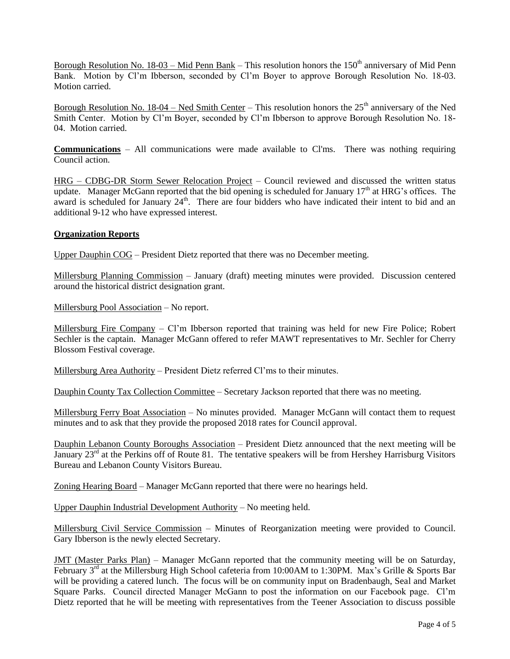Borough Resolution No. 18-03 – Mid Penn Bank – This resolution honors the  $150<sup>th</sup>$  anniversary of Mid Penn Bank. Motion by Cl'm Ibberson, seconded by Cl'm Boyer to approve Borough Resolution No. 18-03. Motion carried.

Borough Resolution No. 18-04 – Ned Smith Center – This resolution honors the  $25<sup>th</sup>$  anniversary of the Ned Smith Center. Motion by Cl'm Boyer, seconded by Cl'm Ibberson to approve Borough Resolution No. 18- 04. Motion carried.

**Communications** – All communications were made available to Cl'ms. There was nothing requiring Council action.

HRG – CDBG-DR Storm Sewer Relocation Project – Council reviewed and discussed the written status update. Manager McGann reported that the bid opening is scheduled for January  $17<sup>th</sup>$  at HRG's offices. The award is scheduled for January 24<sup>th</sup>. There are four bidders who have indicated their intent to bid and an additional 9-12 who have expressed interest.

## **Organization Reports**

Upper Dauphin COG – President Dietz reported that there was no December meeting.

Millersburg Planning Commission – January (draft) meeting minutes were provided. Discussion centered around the historical district designation grant.

Millersburg Pool Association – No report.

Millersburg Fire Company – Cl'm Ibberson reported that training was held for new Fire Police; Robert Sechler is the captain. Manager McGann offered to refer MAWT representatives to Mr. Sechler for Cherry Blossom Festival coverage.

Millersburg Area Authority – President Dietz referred Cl'ms to their minutes.

Dauphin County Tax Collection Committee – Secretary Jackson reported that there was no meeting.

Millersburg Ferry Boat Association – No minutes provided. Manager McGann will contact them to request minutes and to ask that they provide the proposed 2018 rates for Council approval.

Dauphin Lebanon County Boroughs Association – President Dietz announced that the next meeting will be January 23<sup>rd</sup> at the Perkins off of Route 81. The tentative speakers will be from Hershey Harrisburg Visitors Bureau and Lebanon County Visitors Bureau.

Zoning Hearing Board – Manager McGann reported that there were no hearings held.

Upper Dauphin Industrial Development Authority – No meeting held.

Millersburg Civil Service Commission – Minutes of Reorganization meeting were provided to Council. Gary Ibberson is the newly elected Secretary.

JMT (Master Parks Plan) – Manager McGann reported that the community meeting will be on Saturday, February 3<sup>rd</sup> at the Millersburg High School cafeteria from 10:00AM to 1:30PM. Max's Grille & Sports Bar will be providing a catered lunch. The focus will be on community input on Bradenbaugh, Seal and Market Square Parks. Council directed Manager McGann to post the information on our Facebook page. Cl'm Dietz reported that he will be meeting with representatives from the Teener Association to discuss possible